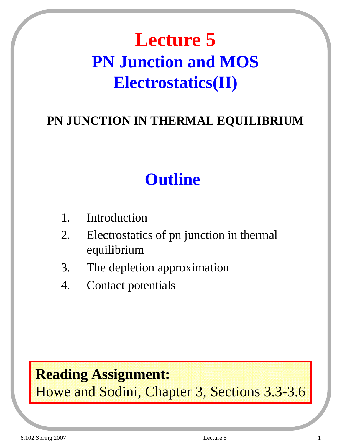## **Lecture 5 PN Junction and MOS Electrostatics(II)**

### **PN JUNCTION IN THERMAL EQUILIBRIUM**

## **Outline**

- 1. Introduction
- 2. Electrostatics of pn junction in thermal equilibrium
- 3. The depletion approximation
- 4. Contact potentials

## **Reading Assignment:**

Howe and Sodini, Chapter 3, Sections 3.3-3.6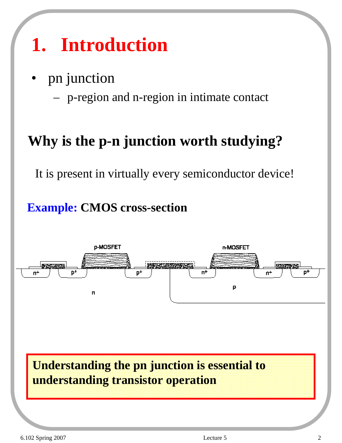# **1. Introduction**

• pn junction

– p-region and n-region in intimate contact

## **Why is the p-n junction worth studying?**

It is present in virtually every semiconductor device!

### **Example: CMOS cross-section**



**Understanding the pn junction is essential to understanding transistor operation**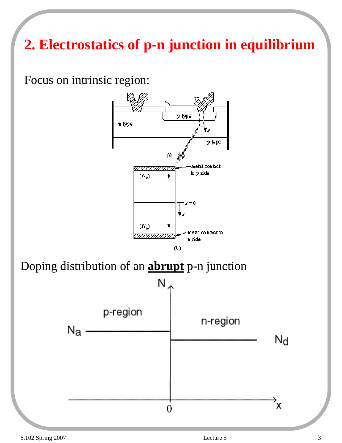## **2. Electrostatics of p-n junction in equilibrium**

Focus on intrinsic region:



Doping distribution of an **abrupt** p-n junction

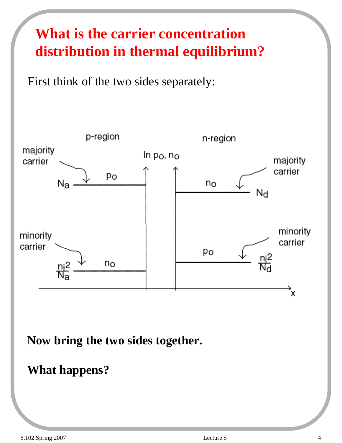## **What is the carrier concentration distribution in thermal equilibrium?**

First think of the two sides separately:



**Now bring the two sides together.** 

#### **What happens?**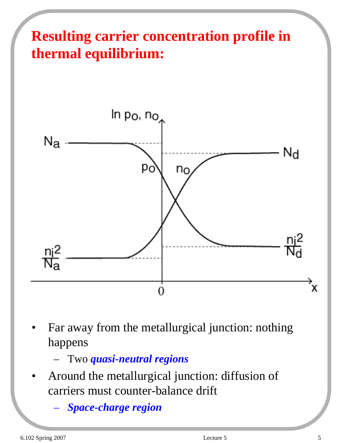## **Resulting carrier concentration profile in thermal equilibrium:**



Far away from the metallurgical junction: nothing happens

– Two *quasi-neutral regions*

- Around the metallurgical junction: diffusion of carriers must counter-balance drift
	- *Space-charge region*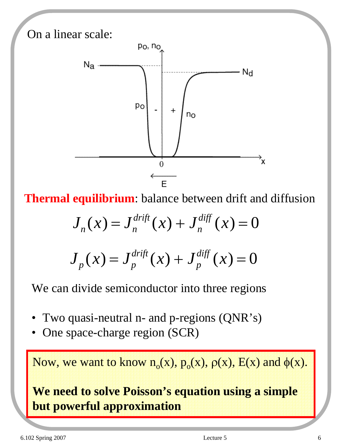

**Thermal equilibrium**: balance between drift and diffusion

$$
J_n(x) = J_n^{\text{drift}}(x) + J_n^{\text{diff}}(x) = 0
$$

$$
J_p(x) = J_p^{\text{drift}}(x) + J_p^{\text{diff}}(x) = 0
$$

We can divide semiconductor into three regions

- Two quasi-neutral n- and p-regions (QNR's)
- One space-charge region (SCR)

Now, we want to know  $n_0(x)$ ,  $p_0(x)$ ,  $p(x)$ ,  $E(x)$  and  $\phi(x)$ .

### **We need to solve Poisson's equation using a simple but powerful approximation**

6.102 Spring 2007 Lecture 5 6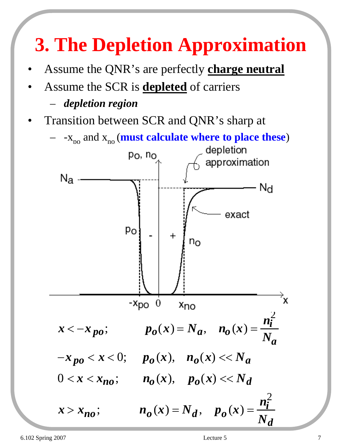# **3. The Depletion Approximation**

- Assume the QNR's are perfectly **charge neutral**
- Assume the SCR is **depleted** of carriers
	- *depletion region*
- Transition between SCR and QNR's sharp at
	-

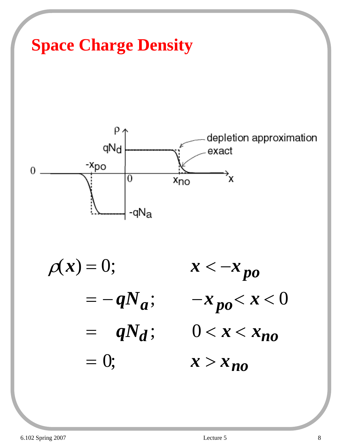



 $\rho(x) = 0;$   $x < -x_{po}$  $=- q N_a; \t -x_{po} < x < 0$  $= qN_d$ ;  $0 < x < x_{no}$  $= 0;$   $x > x_{no}$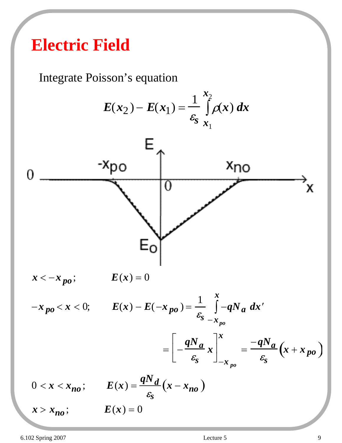## **Electric Field**

Integrate Poisson's equation

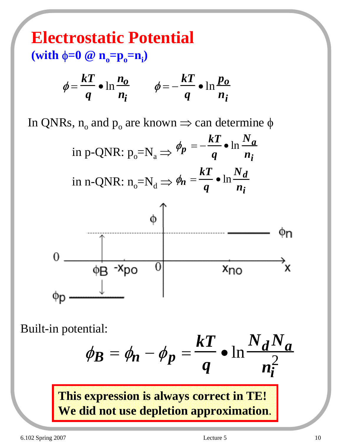**Electrostatic Potential (with φ=0 @ n<sub>o</sub>=p<sub>o</sub>=n<sub>i</sub>)** 

$$
\phi = \frac{kT}{q} \cdot \ln \frac{n_o}{n_i} \qquad \phi = -\frac{kT}{q} \cdot \ln \frac{p_o}{n_i}
$$

In QNRs,  $n_0$  and  $p_0$  are known  $\Rightarrow$  can determine  $\phi$ 

in p-QNR: 
$$
p_o = N_a \Rightarrow \phi_p = -\frac{kT}{q} \cdot \ln \frac{N_a}{n_i}
$$
  
\nin n-QNR:  $n_o = N_d \Rightarrow \phi_n = \frac{kT}{q} \cdot \ln \frac{N_d}{n_i}$   
\n $\phi$   
\n $0$   
\n $\phi$   
\n $\phi$   
\n $\phi$   
\n $\phi$   
\n $\phi$   
\n $\phi$   
\n $\phi$   
\n $\phi$   
\n $\phi$   
\n $\phi$   
\n $\phi$   
\n $\phi$   
\n $\phi$   
\n $\phi$   
\n $\phi$   
\n $\phi$   
\n $\phi$   
\n $\phi$   
\n $\phi$   
\n $\phi$   
\n $\phi$   
\n $\phi$   
\n $\phi$   
\n $\phi$   
\n $\phi$   
\n $\phi$   
\n $\phi$   
\n $\phi$   
\n $\phi$   
\n $\phi$   
\n $\phi$   
\n $\phi$   
\n $\phi$   
\n $\phi$   
\n $\phi$   
\n $\phi$   
\n $\phi$   
\n $\phi$   
\n $\phi$   
\n $\phi$   
\n $\phi$   
\n $\phi$   
\n $\phi$   
\n $\phi$   
\n $\phi$   
\n $\phi$   
\n $\phi$   
\n $\phi$   
\n $\phi$   
\n $\phi$   
\n $\phi$   
\n $\phi$   
\n $\phi$   
\n $\phi$   
\n $\phi$   
\n $\phi$   
\n $\phi$   
\n $\phi$   
\n $\phi$   
\n $\phi$   
\n $\phi$   
\n $\phi$   
\n $\phi$   
\n $\phi$   
\n $\phi$   
\n $\phi$   
\

Built-in potential:

$$
\phi_B = \phi_n - \phi_p = \frac{kT}{q} \cdot \ln \frac{N_d N_a}{n_i^2}
$$

**This expression is always correct in TE! We did not use depletion approximation**.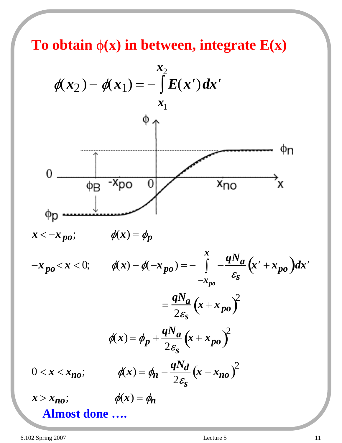**To obtain** φ**(x) in between, integrate E(x)**

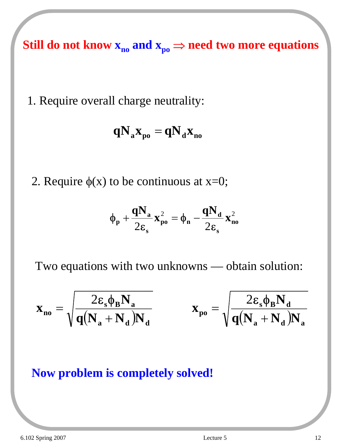Still do not know  $x_{no}$  and  $x_{po} \Rightarrow$  need two more equations

1. Require overall charge neutrality:

$$
\mathbf{q} \mathbf{N}_{\mathbf{a}} \mathbf{x}_{\mathbf{p}\mathbf{o}} = \mathbf{q} \mathbf{N}_{\mathbf{d}} \mathbf{x}_{\mathbf{n}\mathbf{o}}
$$

2. Require  $\phi(x)$  to be continuous at x=0;

$$
\phi_{\mathbf{p}} + \frac{qN_{\mathbf{a}}}{2\epsilon_{\mathbf{s}}} \mathbf{x}_{\mathbf{p}\mathbf{o}}^2 = \phi_{\mathbf{n}} - \frac{qN_{\mathbf{d}}}{2\epsilon_{\mathbf{s}}} \mathbf{x}_{\mathbf{n}\mathbf{o}}^2
$$

Two equations with two unknowns — obtain solution:

$$
\mathbf{x}_{\mathbf{n}\mathbf{o}} = \sqrt{\frac{2\epsilon_{\mathbf{s}}\phi_{\mathbf{B}}N_{\mathbf{a}}}{q(N_{\mathbf{a}}+N_{\mathbf{d}})N_{\mathbf{d}}}} \qquad \qquad \mathbf{x}_{\mathbf{p}\mathbf{o}} = \sqrt{\frac{2\epsilon_{\mathbf{s}}\phi_{\mathbf{B}}N_{\mathbf{d}}}{q(N_{\mathbf{a}}+N_{\mathbf{d}})N_{\mathbf{a}}}}
$$

#### **Now problem is completely solved!**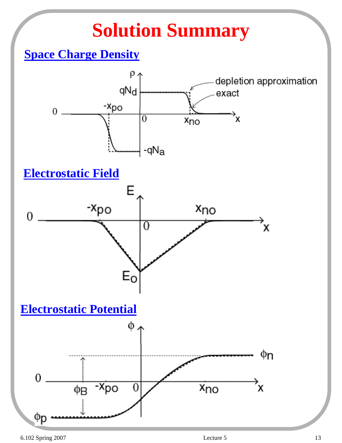# **Solution Summary**

### **Space Charge Density**

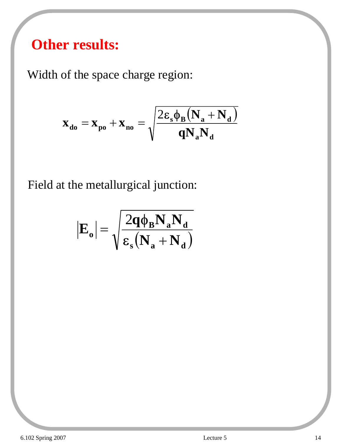### **Other results:**

Width of the space charge region:

$$
\mathbf{x}_{\mathbf{d}\mathbf{o}} = \mathbf{x}_{\mathbf{p}\mathbf{o}} + \mathbf{x}_{\mathbf{n}\mathbf{o}} = \sqrt{\frac{2\boldsymbol{\varepsilon}_{\mathbf{s}}\boldsymbol{\phi}_{\mathbf{B}}\left(\mathbf{N}_{\mathbf{a}} + \mathbf{N}_{\mathbf{d}}\right)}{\mathbf{q}\mathbf{N}_{\mathbf{a}}\mathbf{N}_{\mathbf{d}}}}
$$

Field at the metallurgical junction:

$$
\left| E_{o} \right| = \sqrt{\frac{2q\phi_{B}N_{a}N_{d}}{\epsilon_{s}\left(N_{a}+N_{d}\right)}}
$$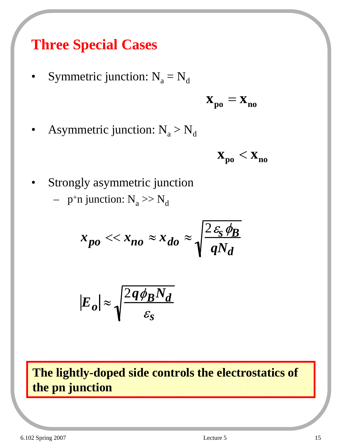### **Three Special Cases**

Symmetric junction:  $N_a = N_d$ 

$$
\mathbf{x}_{\mathbf{p}\mathbf{o}} = \mathbf{x}_{\mathbf{no}}
$$

Asymmetric junction:  $N_a > N_d$ 



Strongly asymmetric junction

- 
$$
p^{\dagger}n
$$
 junction: N<sub>a</sub>  $> N_d$ 

$$
x_{po} << x_{no} \approx x_{do} \approx \sqrt{\frac{2\,\varepsilon_{\rm s}\,\phi_{\rm B}}{qN_d}}
$$

$$
|E_o| \approx \sqrt{\frac{2q\phi_B N_d}{\varepsilon_S}}
$$

**The lightly-doped side controls the electrostatics of the pn junction**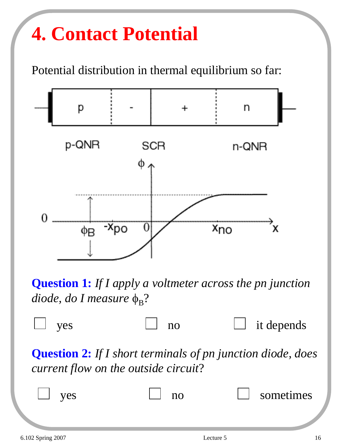# **4. Contact Potential**

Potential distribution in thermal equilibrium so far:



**Question 1:** *If I apply a voltmeter across the pn junction diode, do I measure*  $\phi_B$ ?



**Question 2:** *If I short terminals of pn junction diode, does current flow on the outside circuit*?

| es | sometimes |
|----|-----------|
|    |           |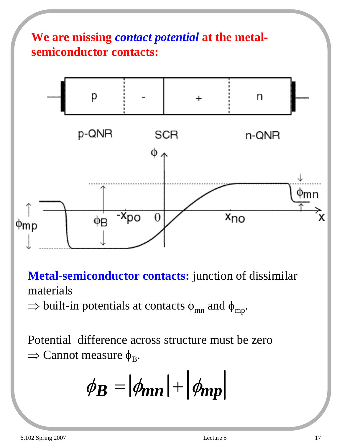

**Metal-semiconductor contacts:** junction of dissimilar materials

 $\Rightarrow$  built-in potentials at contacts  $\phi_{mn}$  and  $\phi_{mp}$ .

Potential difference across structure must be zero  $\Rightarrow$  Cannot measure  $\phi_B$ .

$$
\phi_B = |\phi_{mn}| + |\phi_{mp}|
$$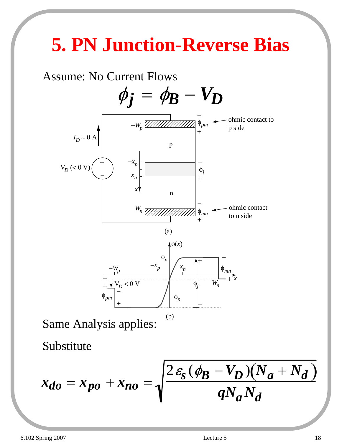# **5. PN Junction-Reverse Bias**





Same Analysis applies:

Substitute

$$
x_{do} = x_{po} + x_{no} = \sqrt{\frac{2 \varepsilon_s (\phi_B - V_D)(N_a + N_d)}{q N_a N_d}}
$$